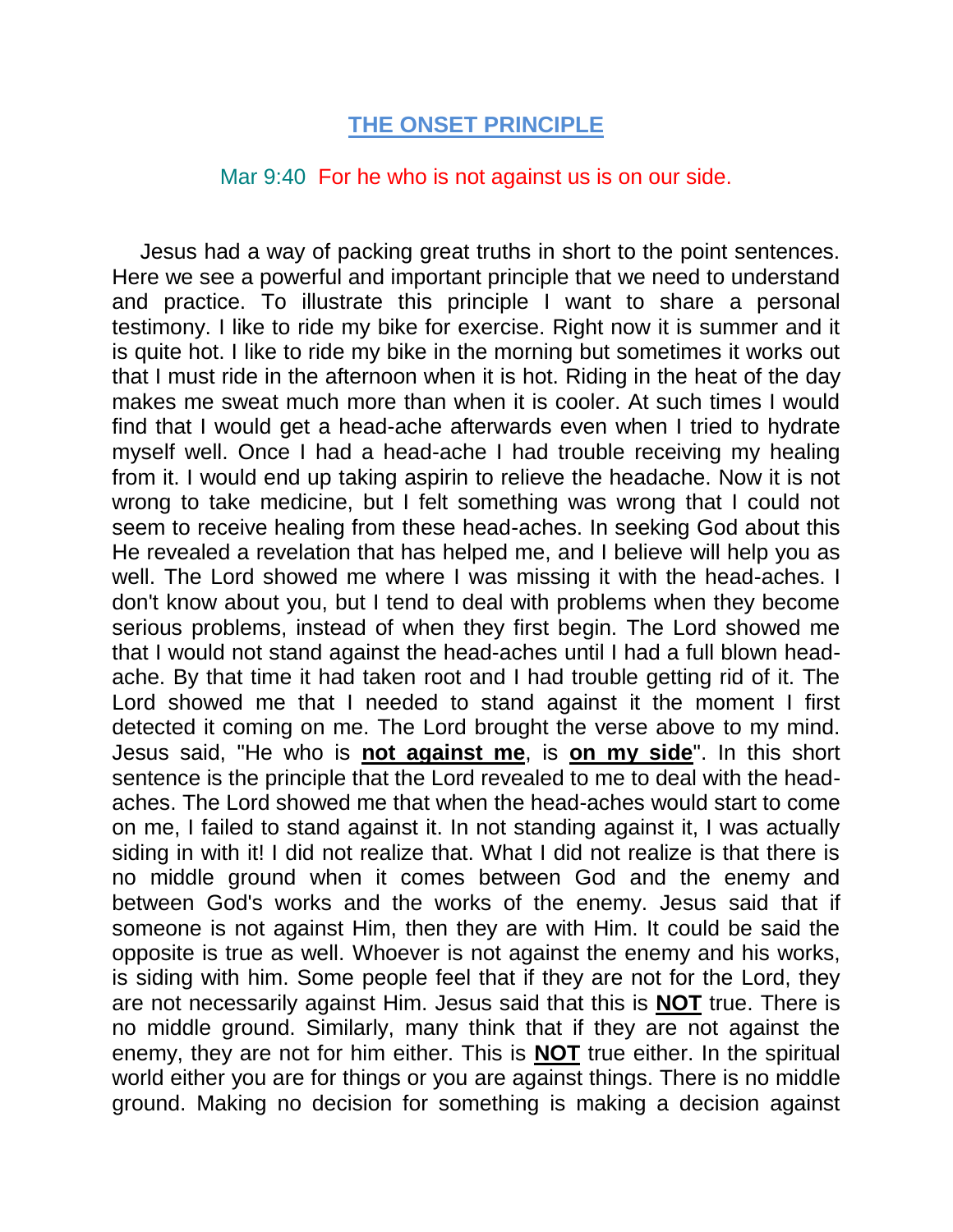## **THE ONSET PRINCIPLE**

## Mar 9:40 For he who is not against us is on our side.

Jesus had a way of packing great truths in short to the point sentences. Here we see a powerful and important principle that we need to understand and practice. To illustrate this principle I want to share a personal testimony. I like to ride my bike for exercise. Right now it is summer and it is quite hot. I like to ride my bike in the morning but sometimes it works out that I must ride in the afternoon when it is hot. Riding in the heat of the day makes me sweat much more than when it is cooler. At such times I would find that I would get a head-ache afterwards even when I tried to hydrate myself well. Once I had a head-ache I had trouble receiving my healing from it. I would end up taking aspirin to relieve the headache. Now it is not wrong to take medicine, but I felt something was wrong that I could not seem to receive healing from these head-aches. In seeking God about this He revealed a revelation that has helped me, and I believe will help you as well. The Lord showed me where I was missing it with the head-aches. I don't know about you, but I tend to deal with problems when they become serious problems, instead of when they first begin. The Lord showed me that I would not stand against the head-aches until I had a full blown headache. By that time it had taken root and I had trouble getting rid of it. The Lord showed me that I needed to stand against it the moment I first detected it coming on me. The Lord brought the verse above to my mind. Jesus said, "He who is **not against me**, is **on my side**". In this short sentence is the principle that the Lord revealed to me to deal with the headaches. The Lord showed me that when the head-aches would start to come on me, I failed to stand against it. In not standing against it, I was actually siding in with it! I did not realize that. What I did not realize is that there is no middle ground when it comes between God and the enemy and between God's works and the works of the enemy. Jesus said that if someone is not against Him, then they are with Him. It could be said the opposite is true as well. Whoever is not against the enemy and his works, is siding with him. Some people feel that if they are not for the Lord, they are not necessarily against Him. Jesus said that this is **NOT** true. There is no middle ground. Similarly, many think that if they are not against the enemy, they are not for him either. This is **NOT** true either. In the spiritual world either you are for things or you are against things. There is no middle ground. Making no decision for something is making a decision against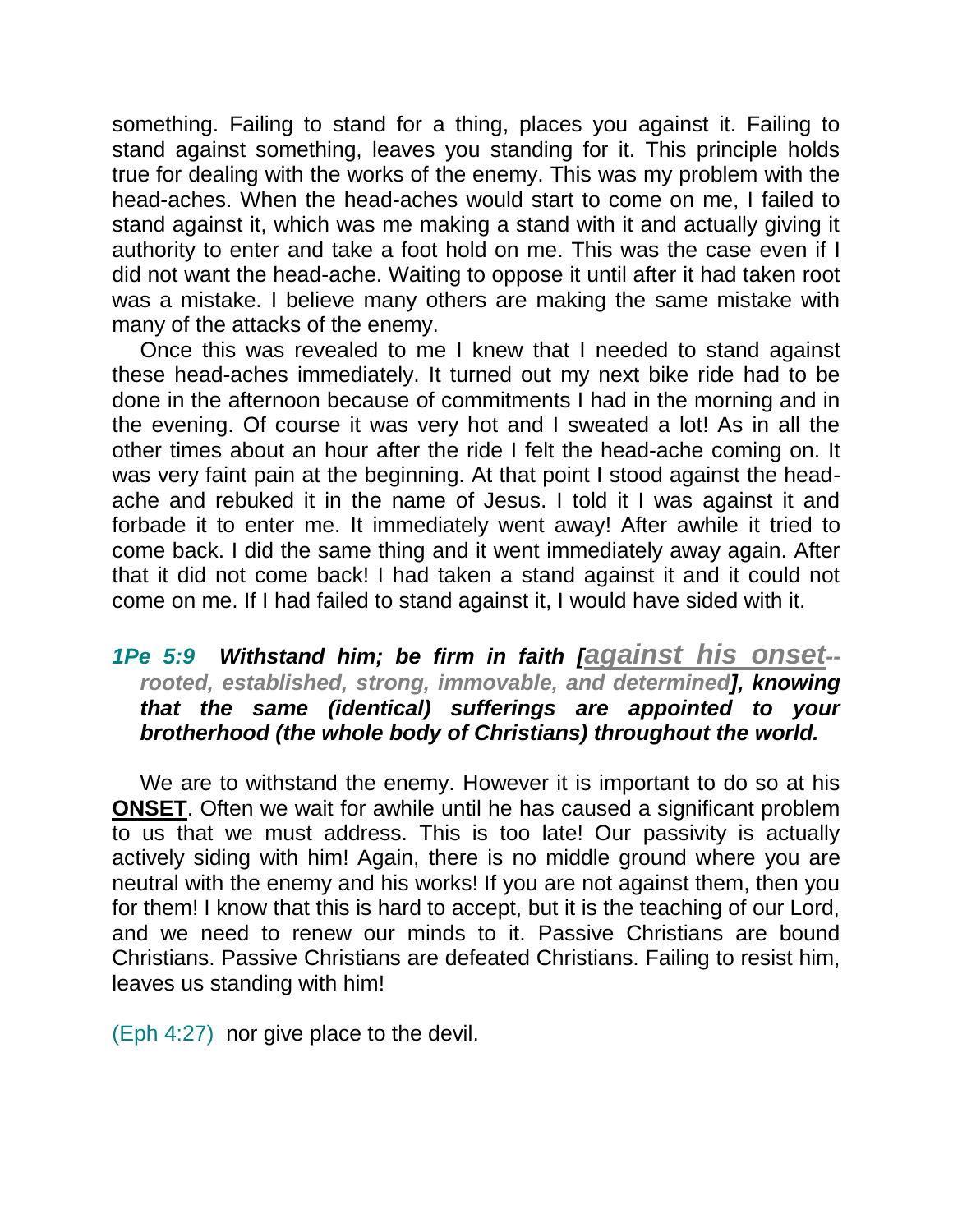something. Failing to stand for a thing, places you against it. Failing to stand against something, leaves you standing for it. This principle holds true for dealing with the works of the enemy. This was my problem with the head-aches. When the head-aches would start to come on me, I failed to stand against it, which was me making a stand with it and actually giving it authority to enter and take a foot hold on me. This was the case even if I did not want the head-ache. Waiting to oppose it until after it had taken root was a mistake. I believe many others are making the same mistake with many of the attacks of the enemy.

Once this was revealed to me I knew that I needed to stand against these head-aches immediately. It turned out my next bike ride had to be done in the afternoon because of commitments I had in the morning and in the evening. Of course it was very hot and I sweated a lot! As in all the other times about an hour after the ride I felt the head-ache coming on. It was very faint pain at the beginning. At that point I stood against the headache and rebuked it in the name of Jesus. I told it I was against it and forbade it to enter me. It immediately went away! After awhile it tried to come back. I did the same thing and it went immediately away again. After that it did not come back! I had taken a stand against it and it could not come on me. If I had failed to stand against it, I would have sided with it.

## *1Pe 5:9 Withstand him; be firm in faith [against his onset- rooted, established, strong, immovable, and determined], knowing that the same (identical) sufferings are appointed to your brotherhood (the whole body of Christians) throughout the world.*

We are to withstand the enemy. However it is important to do so at his **ONSET**. Often we wait for awhile until he has caused a significant problem to us that we must address. This is too late! Our passivity is actually actively siding with him! Again, there is no middle ground where you are neutral with the enemy and his works! If you are not against them, then you for them! I know that this is hard to accept, but it is the teaching of our Lord, and we need to renew our minds to it. Passive Christians are bound Christians. Passive Christians are defeated Christians. Failing to resist him, leaves us standing with him!

(Eph 4:27) nor give place to the devil.